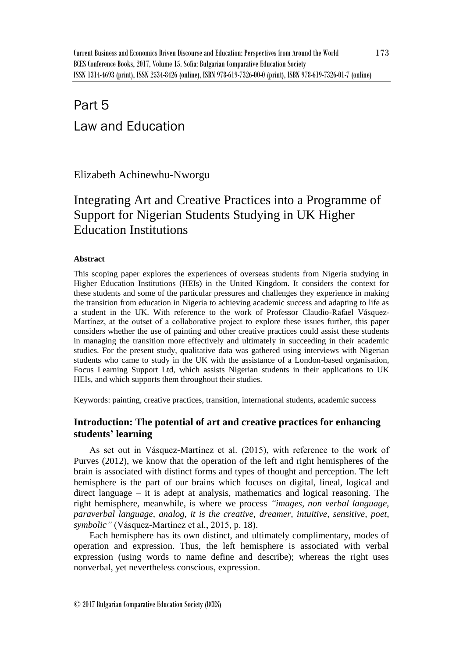# Part 5 Law and Education

Elizabeth Achinewhu-Nworgu

## Integrating Art and Creative Practices into a Programme of Support for Nigerian Students Studying in UK Higher Education Institutions

## **Abstract**

This scoping paper explores the experiences of overseas students from Nigeria studying in Higher Education Institutions (HEIs) in the United Kingdom. It considers the context for these students and some of the particular pressures and challenges they experience in making the transition from education in Nigeria to achieving academic success and adapting to life as a student in the UK. With reference to the work of Professor Claudio-Rafael Vásquez-Martínez, at the outset of a collaborative project to explore these issues further, this paper considers whether the use of painting and other creative practices could assist these students in managing the transition more effectively and ultimately in succeeding in their academic studies. For the present study, qualitative data was gathered using interviews with Nigerian students who came to study in the UK with the assistance of a London-based organisation, Focus Learning Support Ltd, which assists Nigerian students in their applications to UK HEIs, and which supports them throughout their studies.

Keywords: painting, creative practices, transition, international students, academic success

## **Introduction: The potential of art and creative practices for enhancing students' learning**

As set out in Vásquez-Martínez et al. (2015), with reference to the work of Purves (2012), we know that the operation of the left and right hemispheres of the brain is associated with distinct forms and types of thought and perception. The left hemisphere is the part of our brains which focuses on digital, lineal, logical and direct language – it is adept at analysis, mathematics and logical reasoning. The right hemisphere, meanwhile, is where we process *"images, non verbal language, paraverbal language, analog, it is the creative, dreamer, intuitive, sensitive, poet, symbolic"* (Vásquez-Martínez et al., 2015, p. 18).

Each hemisphere has its own distinct, and ultimately complimentary, modes of operation and expression. Thus, the left hemisphere is associated with verbal expression (using words to name define and describe); whereas the right uses nonverbal, yet nevertheless conscious, expression.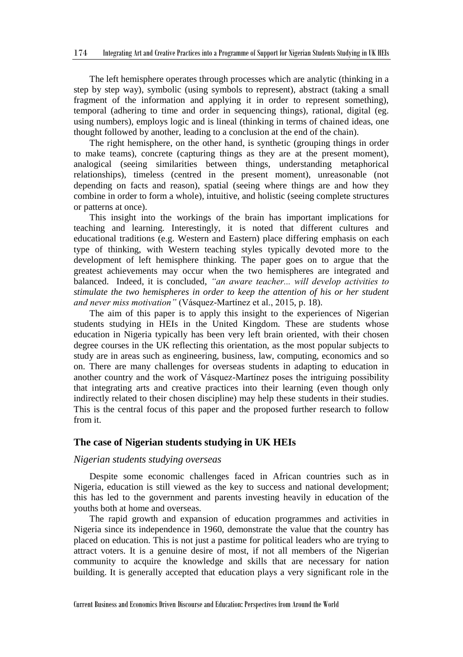The left hemisphere operates through processes which are analytic (thinking in a step by step way), symbolic (using symbols to represent), abstract (taking a small fragment of the information and applying it in order to represent something), temporal (adhering to time and order in sequencing things), rational, digital (eg. using numbers), employs logic and is lineal (thinking in terms of chained ideas, one thought followed by another, leading to a conclusion at the end of the chain).

The right hemisphere, on the other hand, is synthetic (grouping things in order to make teams), concrete (capturing things as they are at the present moment), analogical (seeing similarities between things, understanding metaphorical relationships), timeless (centred in the present moment), unreasonable (not depending on facts and reason), spatial (seeing where things are and how they combine in order to form a whole), intuitive, and holistic (seeing complete structures or patterns at once).

This insight into the workings of the brain has important implications for teaching and learning. Interestingly, it is noted that different cultures and educational traditions (e.g. Western and Eastern) place differing emphasis on each type of thinking, with Western teaching styles typically devoted more to the development of left hemisphere thinking. The paper goes on to argue that the greatest achievements may occur when the two hemispheres are integrated and balanced. Indeed, it is concluded, *"an aware teacher... will develop activities to stimulate the two hemispheres in order to keep the attention of his or her student and never miss motivation"* (Vásquez-Martínez et al., 2015, p. 18).

The aim of this paper is to apply this insight to the experiences of Nigerian students studying in HEIs in the United Kingdom. These are students whose education in Nigeria typically has been very left brain oriented, with their chosen degree courses in the UK reflecting this orientation, as the most popular subjects to study are in areas such as engineering, business, law, computing, economics and so on. There are many challenges for overseas students in adapting to education in another country and the work of Vásquez-Martínez poses the intriguing possibility that integrating arts and creative practices into their learning (even though only indirectly related to their chosen discipline) may help these students in their studies. This is the central focus of this paper and the proposed further research to follow from it.

## **The case of Nigerian students studying in UK HEIs**

## *Nigerian students studying overseas*

Despite some economic challenges faced in African countries such as in Nigeria, education is still viewed as the key to success and national development; this has led to the government and parents investing heavily in education of the youths both at home and overseas.

The rapid growth and expansion of education programmes and activities in Nigeria since its independence in 1960, demonstrate the value that the country has placed on education. This is not just a pastime for political leaders who are trying to attract voters. It is a genuine desire of most, if not all members of the Nigerian community to acquire the knowledge and skills that are necessary for nation building. It is generally accepted that education plays a very significant role in the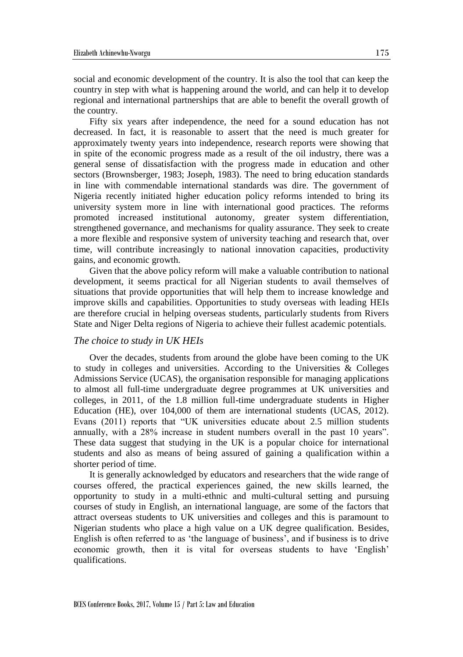social and economic development of the country. It is also the tool that can keep the country in step with what is happening around the world, and can help it to develop regional and international partnerships that are able to benefit the overall growth of the country.

Fifty six years after independence, the need for a sound education has not decreased. In fact, it is reasonable to assert that the need is much greater for approximately twenty years into independence, research reports were showing that in spite of the economic progress made as a result of the oil industry, there was a general sense of dissatisfaction with the progress made in education and other sectors (Brownsberger, 1983; Joseph, 1983). The need to bring education standards in line with commendable international standards was dire. The government of Nigeria recently initiated higher education policy reforms intended to bring its university system more in line with international good practices. The reforms promoted increased institutional autonomy, greater system differentiation, strengthened governance, and mechanisms for quality assurance. They seek to create a more flexible and responsive system of university teaching and research that, over time, will contribute increasingly to national innovation capacities, productivity gains, and economic growth.

Given that the above policy reform will make a valuable contribution to national development, it seems practical for all Nigerian students to avail themselves of situations that provide opportunities that will help them to increase knowledge and improve skills and capabilities. Opportunities to study overseas with leading HEIs are therefore crucial in helping overseas students, particularly students from Rivers State and Niger Delta regions of Nigeria to achieve their fullest academic potentials.

## *The choice to study in UK HEIs*

Over the decades, students from around the globe have been coming to the UK to study in colleges and universities. According to the Universities & Colleges Admissions Service (UCAS), the organisation responsible for managing applications to almost all full-time undergraduate degree programmes at UK universities and colleges, in 2011, of the 1.8 million full-time undergraduate students in Higher Education (HE), over 104,000 of them are international students (UCAS, 2012). Evans (2011) reports that "UK universities educate about 2.5 million students annually, with a 28% increase in student numbers overall in the past 10 years". These data suggest that studying in the UK is a popular choice for international students and also as means of being assured of gaining a qualification within a shorter period of time.

It is generally acknowledged by educators and researchers that the wide range of courses offered, the practical experiences gained, the new skills learned, the opportunity to study in a multi-ethnic and multi-cultural setting and pursuing courses of study in English, an international language, are some of the factors that attract overseas students to UK universities and colleges and this is paramount to Nigerian students who place a high value on a UK degree qualification. Besides, English is often referred to as 'the language of business', and if business is to drive economic growth, then it is vital for overseas students to have 'English' qualifications.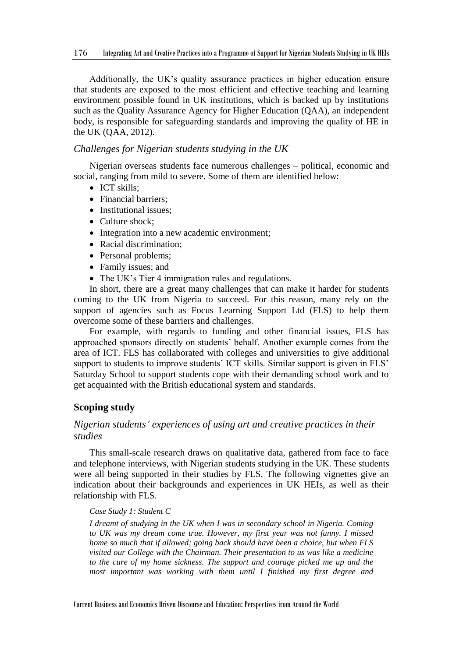Additionally, the UK's quality assurance practices in higher education ensure that students are exposed to the most efficient and effective teaching and learning environment possible found in UK institutions, which is backed up by institutions such as the Quality Assurance Agency for Higher Education (QAA), an independent body, is responsible for safeguarding standards and improving the quality of HE in the UK (QAA, 2012).

## *Challenges for Nigerian students studying in the UK*

Nigerian overseas students face numerous challenges – political, economic and social, ranging from mild to severe. Some of them are identified below:

- ICT skills:
- Financial barriers:
- Institutional issues:
- Culture shock:
- Integration into a new academic environment;
- Racial discrimination;
- Personal problems:
- Family issues; and
- The UK's Tier 4 immigration rules and regulations.

In short, there are a great many challenges that can make it harder for students coming to the UK from Nigeria to succeed. For this reason, many rely on the support of agencies such as Focus Learning Support Ltd (FLS) to help them overcome some of these barriers and challenges.

For example, with regards to funding and other financial issues, FLS has approached sponsors directly on students' behalf. Another example comes from the area of ICT. FLS has collaborated with colleges and universities to give additional support to students to improve students' ICT skills. Similar support is given in FLS' Saturday School to support students cope with their demanding school work and to get acquainted with the British educational system and standards.

## **Scoping study**

## *Nigerian students' experiences of using art and creative practices in their studies*

This small-scale research draws on qualitative data, gathered from face to face and telephone interviews, with Nigerian students studying in the UK. These students were all being supported in their studies by FLS. The following vignettes give an indication about their backgrounds and experiences in UK HEIs, as well as their relationship with FLS.

#### *Case Study 1: Student C*

*I dreamt of studying in the UK when I was in secondary school in Nigeria. Coming to UK was my dream come true. However, my first year was not funny. I missed home so much that if allowed; going back should have been a choice, but when FLS visited our College with the Chairman. Their presentation to us was like a medicine to the cure of my home sickness. The support and courage picked me up and the most important was working with them until I finished my first degree and*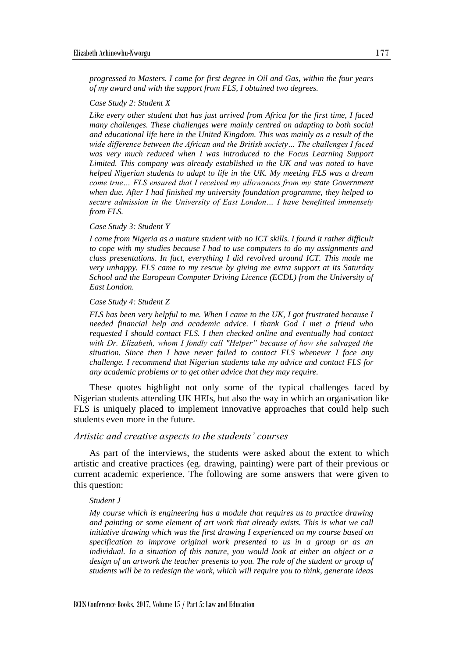*progressed to Masters. I came for first degree in Oil and Gas, within the four years of my award and with the support from FLS, I obtained two degrees.*

#### *Case Study 2: Student X*

*Like every other student that has just arrived from Africa for the first time, I faced many challenges. These challenges were mainly centred on adapting to both social and educational life here in the United Kingdom. This was mainly as a result of the wide difference between the African and the British society… The challenges I faced*  was very much reduced when I was introduced to the Focus Learning Support *Limited. This company was already established in the UK and was noted to have helped Nigerian students to adapt to life in the UK. My meeting FLS was a dream come true… FLS ensured that I received my allowances from my state Government when due. After I had finished my university foundation programme, they helped to secure admission in the University of East London… I have benefitted immensely from FLS.*

#### *Case Study 3: Student Y*

*I came from Nigeria as a mature student with no ICT skills. I found it rather difficult to cope with my studies because I had to use computers to do my assignments and class presentations. In fact, everything I did revolved around ICT. This made me very unhappy. FLS came to my rescue by giving me extra support at its Saturday School and the European Computer Driving Licence (ECDL) from the University of East London.*

#### *Case Study 4: Student Z*

*FLS has been very helpful to me. When I came to the UK, I got frustrated because I needed financial help and academic advice. I thank God I met a friend who requested I should contact FLS. I then checked online and eventually had contact with Dr. Elizabeth, whom I fondly call "Helper" because of how she salvaged the situation. Since then I have never failed to contact FLS whenever I face any challenge. I recommend that Nigerian students take my advice and contact FLS for any academic problems or to get other advice that they may require.*

These quotes highlight not only some of the typical challenges faced by Nigerian students attending UK HEIs, but also the way in which an organisation like FLS is uniquely placed to implement innovative approaches that could help such students even more in the future.

#### *Artistic and creative aspects to the students' courses*

As part of the interviews, the students were asked about the extent to which artistic and creative practices (eg. drawing, painting) were part of their previous or current academic experience. The following are some answers that were given to this question:

#### *Student J*

*My course which is engineering has a module that requires us to practice drawing and painting or some element of art work that already exists. This is what we call initiative drawing which was the first drawing I experienced on my course based on specification to improve original work presented to us in a group or as an individual. In a situation of this nature, you would look at either an object or a*  design of an artwork the teacher presents to you. The role of the student or group of *students will be to redesign the work, which will require you to think, generate ideas*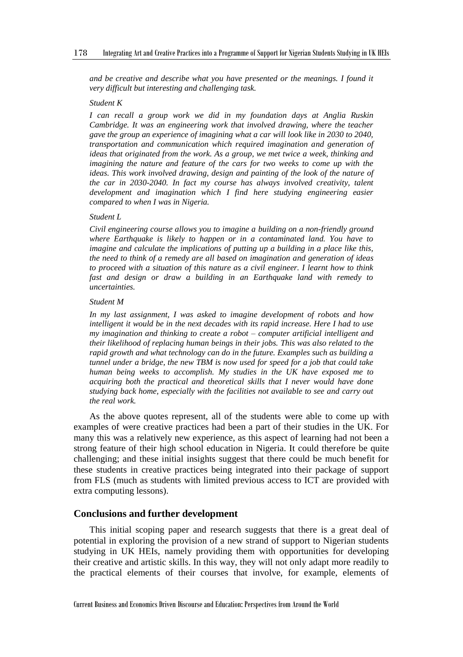and be creative and describe what you have presented or the meanings. I found it *very difficult but interesting and challenging task.*

#### *Student K*

*I can recall a group work we did in my foundation days at Anglia Ruskin Cambridge. It was an engineering work that involved drawing, where the teacher gave the group an experience of imagining what a car will look like in 2030 to 2040, transportation and communication which required imagination and generation of ideas that originated from the work. As a group, we met twice a week, thinking and imagining the nature and feature of the cars for two weeks to come up with the ideas. This work involved drawing, design and painting of the look of the nature of the car in 2030-2040. In fact my course has always involved creativity, talent development and imagination which I find here studying engineering easier compared to when I was in Nigeria.*

#### *Student L*

*Civil engineering course allows you to imagine a building on a non-friendly ground where Earthquake is likely to happen or in a contaminated land. You have to imagine and calculate the implications of putting up a building in a place like this, the need to think of a remedy are all based on imagination and generation of ideas to proceed with a situation of this nature as a civil engineer. I learnt how to think fast and design or draw a building in an Earthquake land with remedy to uncertainties.*

#### *Student M*

*In my last assignment, I was asked to imagine development of robots and how intelligent it would be in the next decades with its rapid increase. Here I had to use my imagination and thinking to create a robot – computer artificial intelligent and their likelihood of replacing human beings in their jobs. This was also related to the rapid growth and what technology can do in the future. Examples such as building a tunnel under a bridge, the new TBM is now used for speed for a job that could take human being weeks to accomplish. My studies in the UK have exposed me to acquiring both the practical and theoretical skills that I never would have done studying back home, especially with the facilities not available to see and carry out the real work.* 

As the above quotes represent, all of the students were able to come up with examples of were creative practices had been a part of their studies in the UK. For many this was a relatively new experience, as this aspect of learning had not been a strong feature of their high school education in Nigeria. It could therefore be quite challenging; and these initial insights suggest that there could be much benefit for these students in creative practices being integrated into their package of support from FLS (much as students with limited previous access to ICT are provided with extra computing lessons).

## **Conclusions and further development**

This initial scoping paper and research suggests that there is a great deal of potential in exploring the provision of a new strand of support to Nigerian students studying in UK HEIs, namely providing them with opportunities for developing their creative and artistic skills. In this way, they will not only adapt more readily to the practical elements of their courses that involve, for example, elements of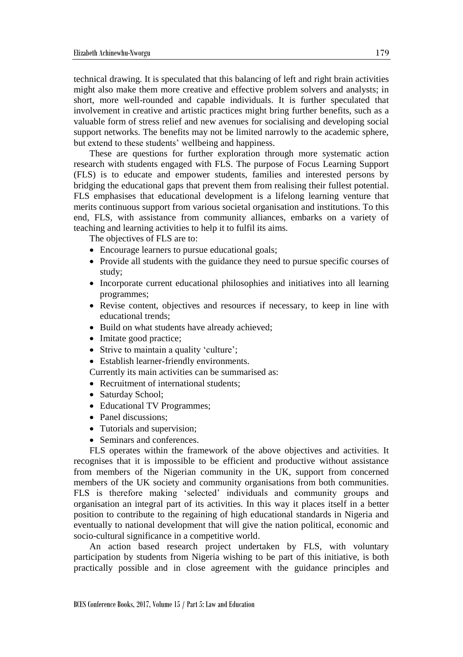technical drawing. It is speculated that this balancing of left and right brain activities might also make them more creative and effective problem solvers and analysts; in short, more well-rounded and capable individuals. It is further speculated that involvement in creative and artistic practices might bring further benefits, such as a valuable form of stress relief and new avenues for socialising and developing social support networks. The benefits may not be limited narrowly to the academic sphere, but extend to these students' wellbeing and happiness.

These are questions for further exploration through more systematic action research with students engaged with FLS. The purpose of Focus Learning Support (FLS) is to educate and empower students, families and interested persons by bridging the educational gaps that prevent them from realising their fullest potential. FLS emphasises that educational development is a lifelong learning venture that merits continuous support from various societal organisation and institutions. To this end, FLS, with assistance from community alliances, embarks on a variety of teaching and learning activities to help it to fulfil its aims.

The objectives of FLS are to:

- Encourage learners to pursue educational goals;
- Provide all students with the guidance they need to pursue specific courses of study;
- Incorporate current educational philosophies and initiatives into all learning programmes;
- Revise content, objectives and resources if necessary, to keep in line with educational trends;
- Build on what students have already achieved;
- Imitate good practice;
- Strive to maintain a quality 'culture';
- Establish learner-friendly environments.

Currently its main activities can be summarised as:

- Recruitment of international students:
- Saturday School;
- Educational TV Programmes;
- Panel discussions;
- Tutorials and supervision:
- Seminars and conferences.

FLS operates within the framework of the above objectives and activities. It recognises that it is impossible to be efficient and productive without assistance from members of the Nigerian community in the UK, support from concerned members of the UK society and community organisations from both communities. FLS is therefore making 'selected' individuals and community groups and organisation an integral part of its activities. In this way it places itself in a better position to contribute to the regaining of high educational standards in Nigeria and eventually to national development that will give the nation political, economic and socio-cultural significance in a competitive world.

An action based research project undertaken by FLS, with voluntary participation by students from Nigeria wishing to be part of this initiative, is both practically possible and in close agreement with the guidance principles and